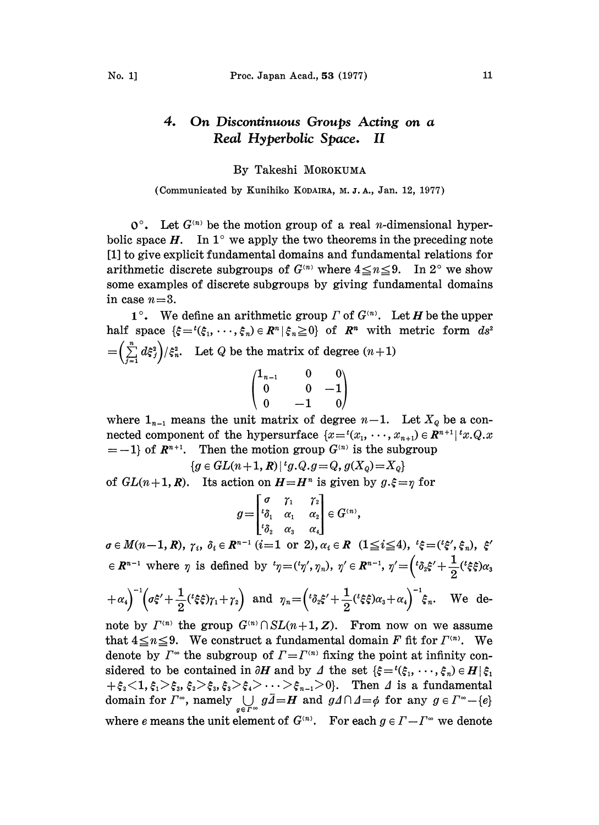## 4. On Discontinuous Groups Acting on a Real Hyperbolic Space. II

## By Takeshi MOROKUMA

(Communicated by Kunihiko KODAIRA, M.J.A., Jan. 12, 1977)

 $\mathbf{O}^{\circ}$ . Let  $G^{(n)}$  be the motion group of a real *n*-dimensional hyperbolic space  $H$ . In 1° we apply the two theorems in the preceding note [1] to give explicit fundamental domains and fundamental relations for arithmetic discrete subgroups of  $G^{(n)}$  where  $4 \le n \le 9$ . In  $2^{\circ}$  we show some examples of discrete subgroups by giving fundamental domains in case  $n=3$ .

 $1^{\circ}$ . We define an arithmetic group  $\Gamma$  of  $G^{(n)}$ . Let H be the upper half space  $\{\xi = \xi_1, \dots, \xi_n\} \in \mathbb{R}^n \setminus \xi_n \geq 0\}$  of  $\mathbb{R}^n$  with metric form  $ds^2$  $=\left(\sum_{i=1}^n d\xi_i^2\right)/\xi_n^2$ . Let Q be the matrix of degree  $(n+1)$ 

$$
\begin{pmatrix} 1_{n-1} & 0 & 0 \ 0 & 0 & -1 \ 0 & -1 & 0 \end{pmatrix}
$$

where  $1_{n-1}$  means the unit matrix of degree  $n-1$ . Let  $X_{\varrho}$  be a connected component of the hypersurface  $\{x = (x_1, \dots, x_{n+1}) \in \mathbb{R}^{n+1} | x, Q, x\}$  $=-1$  of  $R^{n+1}$ . Then the motion group  $G^{(n)}$  is the subgroup

$$
g\in GL(n+1,\,R)\,|\,{}^tg.Q.g\!=\!Q,\,g(X_q)\!=\!X_q\}
$$

of  $GL(n+1, R)$ . Its action on  $H = H^n$  is given by  $g.\xi = \eta$  for

$$
g = \begin{bmatrix} \sigma & \gamma_1 & \gamma_2 \\ \iota_{\delta_1} & \alpha_1 & \alpha_2 \\ \iota_{\delta_2} & \alpha_3 & \alpha_4 \end{bmatrix} \in G^{(n)}
$$

 $\sigma \in M(n-1, R)$ ,  $\gamma_i$ ,  $\delta_i \in R^{n-1}$  (i=1 or 2),  $\alpha_i \in R$  (1 $\leq i \leq 4$ ), ' $\xi = ({}^{t}\xi', \xi_n)$ ,  $\xi'$  $\theta \in \mathbb{R}^{n-1}$  where  $\eta$  is defined by  ${}^{t}\eta = ({}^{t}\eta',\eta_n), \ \eta' \in \mathbb{R}^{n-1}, \ \eta' = \left({}^{t}\delta_t\xi' + \frac{1}{2}({}^{t}\xi\xi)\alpha_s\right)$ 

$$
+\alpha_4\bigg)^{-1}\bigg(\sigma\xi'+\frac{1}{2}({}^t\xi\xi)\gamma_1+\gamma_2\bigg) \text{ and } \gamma_n=\bigg({}^t\delta_2\xi'+\frac{1}{2}({}^t\xi\xi)\alpha_3+\alpha_4\bigg)^{-1}\xi_n. \text{ We de-}
$$

note by  $\Gamma^{(n)}$  the group  $G^{(n)} \cap SL(n+1, Z)$ . From now on we assume that  $4 \le n \le 9$ . We construct a fundamental domain F fit for  $\Gamma^{(n)}$ . We denote by  $\Gamma^{\infty}$  the subgroup of  $\Gamma = \Gamma^{(n)}$  fixing the point at infinity considered to be contained in  $\partial H$  and by  $\Delta$  the set  $\{\xi = {}^{t}(\xi_{1}, \dots, \xi_{n}) \in H | \xi_{1}$  $+\xi_2<1, \xi_1>\xi_3, \xi_2>\xi_3, \xi_3>\xi_4>\cdots>\xi_{n-1}>0$ . Then  $\Delta$  is a fundamental domain for  $\Gamma^{\infty}$ , namely  $\bigcup_{g \in \Gamma^{\infty}} g\overline{d} = H$  and  $g\Delta \cap \Delta = \phi$  for any  $g \in \Gamma^{\infty} - \{e\}$ where e means the unit element of  $G^{(n)}$ . For each  $g \in \Gamma - \Gamma^{\infty}$  we denote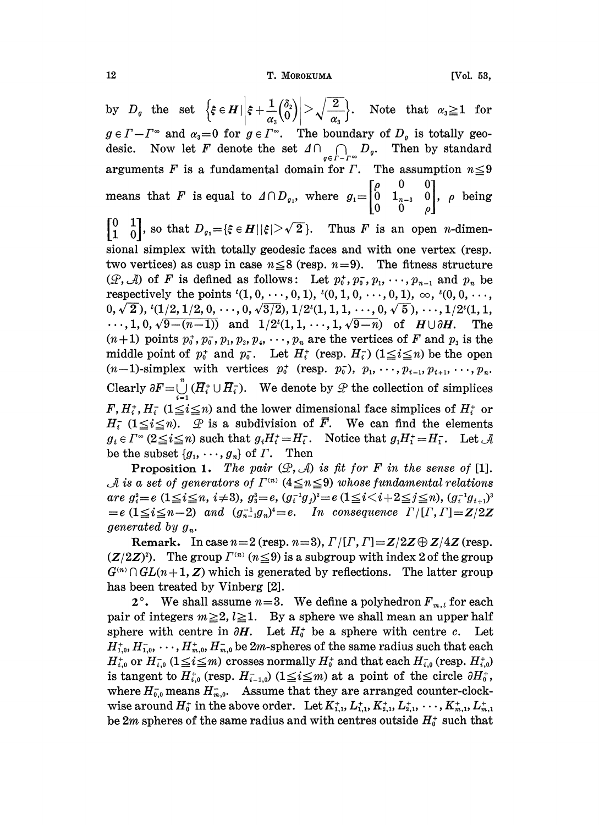by  $D_q$  the set  $\left\{\xi \in H \mid \left|\xi + \frac{1}{\alpha_s} \binom{\delta_2}{0}\right| > \sqrt{\frac{2}{\alpha_s}}\right\}$ . Note that  $\alpha_s \geq 1$  for  $g \in \Gamma - \Gamma^{\infty}$  and  $\alpha_{3} = 0$  for  $g \in \Gamma^{\infty}$ . The boundary of  $D_{g}$  is totally geo-Now let F denote the set  $\Delta \cap \bigcap_{g \in F - F^\infty} D_g$ . Then by standard desic. arguments F is a fundamental domain for  $\Gamma$ . The assumption  $n \leq 9$ means that F is equal to  $\Delta \cap D_{\varrho_1}$ , where  $g_1 = \begin{bmatrix} \rho & 0 & 0 \\ 0 & 1_{n-3} & 0 \\ 0 & 0 & \rho \end{bmatrix}$ ,  $\rho$  being  $\begin{bmatrix} 0 & 1 \\ 1 & 0 \end{bmatrix}$ , so that  $D_{g_1} = \{\xi \in H \mid |\xi| > \sqrt{2}\}$ . Thus F is an open *n*-dimensional simplex with totally geodesic faces and with one vertex (resp. two vertices) as cusp in case  $n \leq 8$  (resp.  $n=9$ ). The fitness structure  $(\mathcal{P}, \mathcal{A})$  of F is defined as follows: Let  $p_0^*, p_0^*, p_1, \dots, p_{n-1}$  and  $p_n$  be respectively the points  ${}^{t}(1,0,\dots,0,1),$   ${}^{t}(0,1,0,\dots,0,1), \infty,$   ${}^{t}(0,0,\dots,0,1)$  $(0, \sqrt{2}), \{1/2, 1/2, 0, \cdots, 0, \sqrt{3/2}\}, 1/2^t(1, 1, 1, \cdots, 0, \sqrt{5}), \cdots, 1/2^t(1, 1,$  $\cdots, 1, 0, \sqrt{9-(n-1)}$  and  $1/2^{i}(1, 1, \cdots, 1, \sqrt{9-n})$  of  $H \cup \partial H$ . The  $(n+1)$  points  $p_0^*, p_0^*, p_1, p_2, p_4, \cdots, p_n$  are the vertices of F and  $p_3$  is the middle point of  $p_0^+$  and  $p_0^-$ . Let  $H_i^+$  (resp.  $H_i^-$ ) ( $1 \le i \le n$ ) be the open  $(n-1)$ -simplex with vertices  $p_0^+$  (resp.  $p_0^-$ ),  $p_1, \dots, p_{i-1}, p_{i+1}, \dots, p_n$ . Clearly  $\partial F = \bigcup_{i=1}^{n} (H_i^+ \cup H_i^-)$ . We denote by  $\mathcal{L}$  the collection of simplices  $F, H_i^+, H_i^-$  ( $1 \leq i \leq n$ ) and the lower dimensional face simplices of  $H_i^+$  or  $H_i^-(1 \leq i \leq n)$ .  $\mathcal{P}$  is a subdivision of  $\overline{F}$ . We can find the elements  $g_i \in \Gamma^{\infty} (2 \leq i \leq n)$  such that  $g_i H_i^+ = H_i^-$ . Notice that  $g_i H_i^+ = H_i^-$ . Let  $\mathcal A$ be the subset  $\{g_1, \dots, g_n\}$  of  $\Gamma$ . Then

**Proposition 1.** The pair  $(\mathcal{P}, \mathcal{A})$  is fit for F in the sense of [1]. A is a set of generators of  $\Gamma^{(n)}$  (4 $\leq$ n $\leq$ 9) whose fundamental relations are  $g_i^2 = e$   $(1 \le i \le n, i \ne 3), g_i^3 = e$ ,  $(g_i^{-1}g_j)^2 = e$   $(1 \le i < i+2 \le j \le n), (g_i^{-1}g_{i+1})^3$  $e = e(1 \leq i \leq n-2)$  and  $(g_{n-1}^{-1}g_n)^i = e$ . In consequence  $\Gamma/[\Gamma,\Gamma] = \mathbb{Z}/2\mathbb{Z}$ generated by  $g_n$ .

Remark. In case  $n=2$  (resp.  $n=3$ ),  $\Gamma/[ \Gamma, \Gamma] = Z/2Z \oplus Z/4Z$  (resp.  $(Z/2Z)^2$ . The group  $\Gamma^{(n)}$   $(n \leq 9)$  is a subgroup with index 2 of the group  $G^{(n)} \cap GL(n+1, \mathbb{Z})$  which is generated by reflections. The latter group has been treated by Vinberg [2].

 $2^{\circ}$ . We shall assume  $n=3$ . We define a polyhedron  $F_{m,l}$  for each pair of integers  $m \ge 2$ ,  $l \ge 1$ . By a sphere we shall mean an upper half sphere with centre in  $\partial H$ . Let  $H_0^+$  be a sphere with centre c. Let  $H_{1,0}^*, H_{1,0}^*, \ldots, H_{m,0}^*, H_{m,0}^*$  be 2*m*-spheres of the same radius such that each  $H_{i,0}^*$  or  $H_{i,0}^-(1 \leq i \leq m)$  crosses normally  $H_0^*$  and that each  $H_{i,0}^-($  resp.  $H_{i,0}^+$ is tangent to  $H_{i,0}^+$  (resp.  $H_{i-1,0}^-$ )  $(1 \leq i \leq m)$  at a point of the circle  $\partial H_0^+$ , where  $H_{0,0}^-$  means  $H_{m,0}^-$ . Assume that they are arranged counter-clockwise around  $H_0^+$  in the above order. Let  $K_{1,1}^+, L_{1,1}^+, K_{2,1}^+, L_{3,1}^+, \cdots, K_{m,1}^+, L_{m,1}^+$ be 2*m* spheres of the same radius and with centres outside  $H_0^+$  such that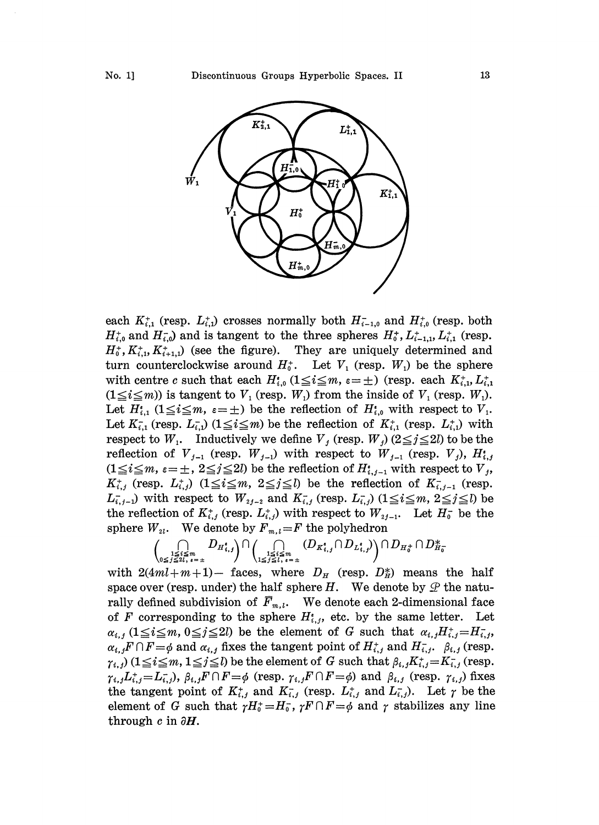

each  $K_{i,1}^+$  (resp.  $L_{i,1}^+$ ) crosses normally both  $H_{i-1,0}^-$  and  $H_{i,0}^+$  (resp. both  $H_{i,0}^+$  and  $H_{i,0}^-$  and is tangent to the three spheres  $H_0^+$ ,  $L_{i-1,1}^+$ ,  $L_{i,1}^+$  (resp.  $H_0^*$ ,  $K_{i,1}^*$ ,  $K_{i+1,1}^*$  (see the figure). They are uniquely determined and turn counterclockwise around  $H_0^*$ . Let  $V_1$  (resp.  $W_1$ ) be the sphere with centre c such that each  $H_{i,0}^*$  ( $1 \leq i \leq m$ ,  $\varepsilon = \pm$ ) (resp. each  $K_{i,1}^*$ ,  $L_{i,1}^*$  $(1 \le i \le m)$ ) is tangent to  $V_1$  (resp.  $W_1$ ) from the inside of  $V_1$  (resp.  $W_1$ ). Let  $H_{i,1}^{\epsilon}$   $(1 \leq i \leq m, \epsilon = \pm)$  be the reflection of  $H_{i,0}^{\epsilon}$  with respect to  $V_1$ . Let  $K_{i,1}^-$  (resp.  $L_{i,1}^-$ ) ( $1 \leq i \leq m$ ) be the reflection of  $K_{i,1}^+$  (resp.  $L_{i,1}^+$ ) with respect to  $W_1$ . Inductively we define  $V_j$  (resp.  $W_j$ ) ( $2 \leq j \leq 2l$ ) to be the reflection of  $V_{j-1}$  (resp.  $W_{j-1}$ ) with respect to  $W_{j-1}$  (resp.  $V_j$ ),  $H_{i,j}^*$  $(1 \le i \le m, \varepsilon = \pm, 2 \le j \le 2l)$  be the reflection of  $H_{i,j-1}^*$  with respect to  $V_j$ ,  $K_{i,j}^+$  (resp.  $L_{i,j}^+$ )  $(1 \leq i \leq m, 2 \leq j \leq l)$  be the reflection of  $K_{i,j-1}^-$  (resp.  $L_{i,j-1}$  with respect to  $W_{i,j-1}$  and  $K_{i,j}$  (resp.  $L_{i,j}$ ) ( $1 \leq i \leq m$ ,  $2 \leq j \leq l$ ) be the reflection of  $K_{i,j}^*$  (resp.  $L_{i,j}^*$ ) with respect to  $W_{2j-1}$ . Let  $H_0^-$  be the sphere  $W_{2l}$ . We denote by  $F_{m,l}=F$  the polyhedron

$$
\biggl(\mathop{\bigcap}\limits_{\substack{1\leq i\leq m\\0\leq j\leq 2l,\;i\text{ = }\pm}} D_{H_{i,j}^*}\biggr)\cap\biggl(\mathop{\bigcap}\limits_{\substack{1\leq i\leq m\\1\leq j\leq l,\;i\text{ = }\pm}} (D_{K_{i,j}^*}\cap D_{L_{i,j}^*})\biggr)\cap D_{H_0^+}\cap D_{H_0^-}^*
$$

with  $2(4ml+m+1)$ - faces, where  $D_H$  (resp.  $D_H^*$ ) means the half space over (resp. under) the half sphere H. We denote by  $\mathscr Q$  the naturally defined subdivision of  $\bar{F}_{m,l}$ . We denote each 2-dimensional face of F corresponding to the sphere  $H_{i,j}^*$ , etc. by the same letter. Let  $\alpha_{i,j}$  ( $1 \leq i \leq m$ ,  $0 \leq j \leq 2l$ ) be the element of G such that  $\alpha_{i,j}H_{i,j}^* = H_{i,j}$ ,  $\alpha_{i,j} F \cap F = \phi$  and  $\alpha_{i,j}$  fixes the tangent point of  $H_{i,j}^+$  and  $H_{i,j}^-$ .  $\beta_{i,j}$  (resp.  $\gamma_{i,j})\ (1\!\leq\! i\!\leq\! m, 1\!\leq\! j\!\leq\! l)$  be the element of  $G$  such that  $\beta_{i,j}K^+_{i,j}\!=\!K^-_{i,j}$  (resp.  $\gamma_{i,j}L_{i,j}^{\dagger} = L_{i,j}^{\dagger}$ ,  $\beta_{i,j}F \cap F = \phi$  (resp.  $\gamma_{i,j}F \cap F = \phi$ ) and  $\beta_{i,j}$  (resp.  $\gamma_{i,j}$ ) fixes the tangent point of  $K_{i,j}^+$  and  $K_{i,j}^-$  (resp.  $L_{i,j}^+$  and  $L_{i,j}^-$ ). Let  $\gamma$  be the element of G such that  $\gamma H_0^+ = H_0^-$ ,  $\gamma F \cap F = \phi$  and  $\gamma$  stabilizes any line through c in  $\partial H$ .